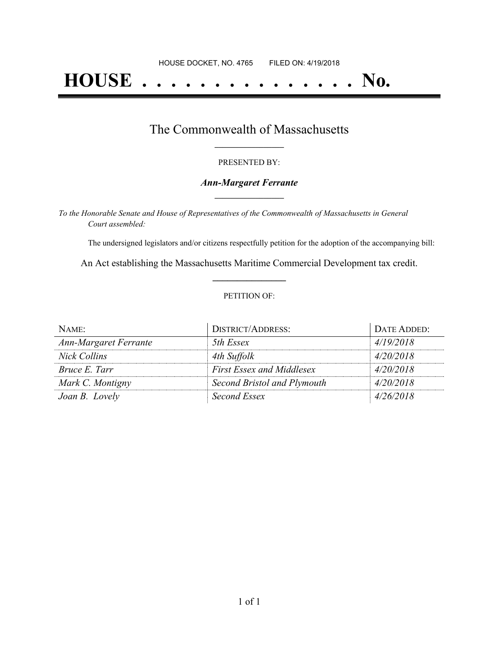# **HOUSE . . . . . . . . . . . . . . . No.**

### The Commonwealth of Massachusetts **\_\_\_\_\_\_\_\_\_\_\_\_\_\_\_\_\_**

#### PRESENTED BY:

#### *Ann-Margaret Ferrante* **\_\_\_\_\_\_\_\_\_\_\_\_\_\_\_\_\_**

*To the Honorable Senate and House of Representatives of the Commonwealth of Massachusetts in General Court assembled:*

The undersigned legislators and/or citizens respectfully petition for the adoption of the accompanying bill:

An Act establishing the Massachusetts Maritime Commercial Development tax credit. **\_\_\_\_\_\_\_\_\_\_\_\_\_\_\_**

#### PETITION OF:

| NAME:                        | <b>DISTRICT/ADDRESS:</b>         | DATE ADDED: |
|------------------------------|----------------------------------|-------------|
| <b>Ann-Margaret Ferrante</b> | 5th Essex                        | 4/19/2018   |
| <b>Nick Collins</b>          | 4th Suffolk                      | 4/20/2018   |
| Bruce E. Tarr                | <b>First Essex and Middlesex</b> | 4/20/2018   |
| Mark C. Montigny             | Second Bristol and Plymouth      | 4/20/2018   |
| Joan B. Lovely               | Second Essex                     | 4/26/2018   |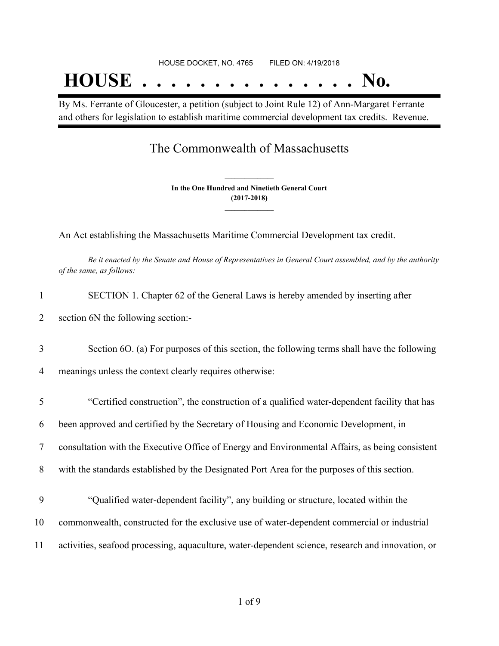# HOUSE DOCKET, NO. 4765 FILED ON: 4/19/2018 **HOUSE . . . . . . . . . . . . . . . No.**

By Ms. Ferrante of Gloucester, a petition (subject to Joint Rule 12) of Ann-Margaret Ferrante and others for legislation to establish maritime commercial development tax credits. Revenue.

## The Commonwealth of Massachusetts

**In the One Hundred and Ninetieth General Court (2017-2018) \_\_\_\_\_\_\_\_\_\_\_\_\_\_\_**

**\_\_\_\_\_\_\_\_\_\_\_\_\_\_\_**

An Act establishing the Massachusetts Maritime Commercial Development tax credit.

Be it enacted by the Senate and House of Representatives in General Court assembled, and by the authority *of the same, as follows:*

| 1      | SECTION 1. Chapter 62 of the General Laws is hereby amended by inserting after                    |
|--------|---------------------------------------------------------------------------------------------------|
| 2      | section 6N the following section:-                                                                |
| 3      | Section 6O. (a) For purposes of this section, the following terms shall have the following        |
| 4      | meanings unless the context clearly requires otherwise:                                           |
| 5      | "Certified construction", the construction of a qualified water-dependent facility that has       |
| 6      | been approved and certified by the Secretary of Housing and Economic Development, in              |
| $\tau$ | consultation with the Executive Office of Energy and Environmental Affairs, as being consistent   |
| 8      | with the standards established by the Designated Port Area for the purposes of this section.      |
| 9      | "Qualified water-dependent facility", any building or structure, located within the               |
| 10     | commonwealth, constructed for the exclusive use of water-dependent commercial or industrial       |
| 11     | activities, seafood processing, aquaculture, water-dependent science, research and innovation, or |
|        |                                                                                                   |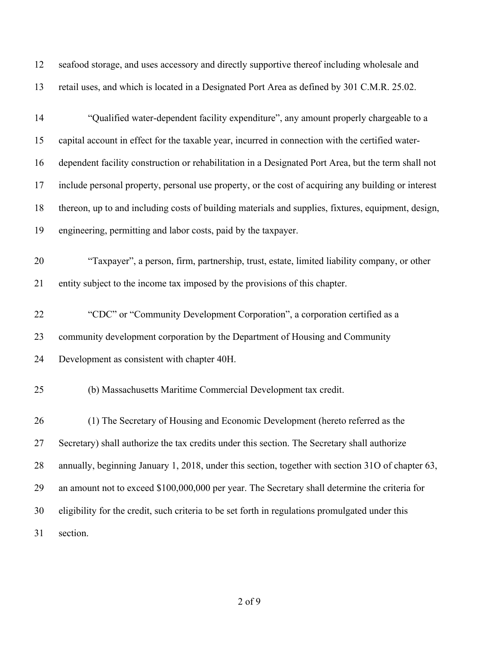| 12 | seafood storage, and uses accessory and directly supportive thereof including wholesale and         |
|----|-----------------------------------------------------------------------------------------------------|
| 13 | retail uses, and which is located in a Designated Port Area as defined by 301 C.M.R. 25.02.         |
| 14 | "Qualified water-dependent facility expenditure", any amount properly chargeable to a               |
| 15 | capital account in effect for the taxable year, incurred in connection with the certified water-    |
| 16 | dependent facility construction or rehabilitation in a Designated Port Area, but the term shall not |
| 17 | include personal property, personal use property, or the cost of acquiring any building or interest |
| 18 | thereon, up to and including costs of building materials and supplies, fixtures, equipment, design, |
| 19 | engineering, permitting and labor costs, paid by the taxpayer.                                      |
| 20 | "Taxpayer", a person, firm, partnership, trust, estate, limited liability company, or other         |
| 21 | entity subject to the income tax imposed by the provisions of this chapter.                         |
| 22 | "CDC" or "Community Development Corporation", a corporation certified as a                          |
| 23 | community development corporation by the Department of Housing and Community                        |
| 24 | Development as consistent with chapter 40H.                                                         |
| 25 | (b) Massachusetts Maritime Commercial Development tax credit.                                       |
| 26 | (1) The Secretary of Housing and Economic Development (hereto referred as the                       |
| 27 | Secretary) shall authorize the tax credits under this section. The Secretary shall authorize        |
| 28 | annually, beginning January 1, 2018, under this section, together with section 31O of chapter 63,   |
| 29 | an amount not to exceed \$100,000,000 per year. The Secretary shall determine the criteria for      |
| 30 | eligibility for the credit, such criteria to be set forth in regulations promulgated under this     |
| 31 | section.                                                                                            |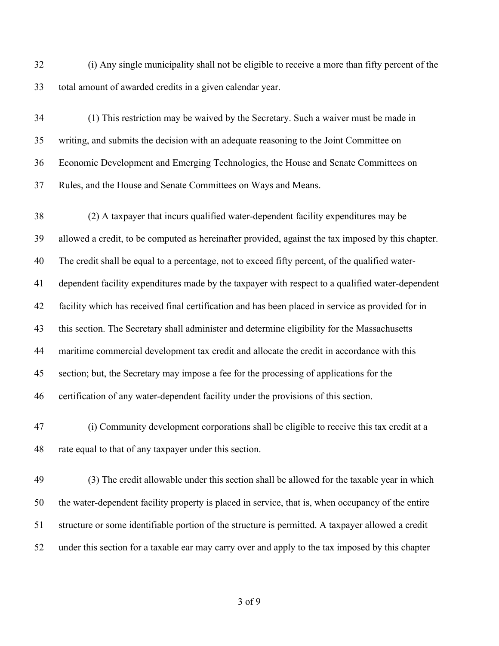(i) Any single municipality shall not be eligible to receive a more than fifty percent of the total amount of awarded credits in a given calendar year.

 (1) This restriction may be waived by the Secretary. Such a waiver must be made in writing, and submits the decision with an adequate reasoning to the Joint Committee on Economic Development and Emerging Technologies, the House and Senate Committees on Rules, and the House and Senate Committees on Ways and Means.

 (2) A taxpayer that incurs qualified water-dependent facility expenditures may be allowed a credit, to be computed as hereinafter provided, against the tax imposed by this chapter. The credit shall be equal to a percentage, not to exceed fifty percent, of the qualified water- dependent facility expenditures made by the taxpayer with respect to a qualified water-dependent facility which has received final certification and has been placed in service as provided for in this section. The Secretary shall administer and determine eligibility for the Massachusetts maritime commercial development tax credit and allocate the credit in accordance with this section; but, the Secretary may impose a fee for the processing of applications for the certification of any water-dependent facility under the provisions of this section.

 (i) Community development corporations shall be eligible to receive this tax credit at a rate equal to that of any taxpayer under this section.

 (3) The credit allowable under this section shall be allowed for the taxable year in which the water-dependent facility property is placed in service, that is, when occupancy of the entire structure or some identifiable portion of the structure is permitted. A taxpayer allowed a credit under this section for a taxable ear may carry over and apply to the tax imposed by this chapter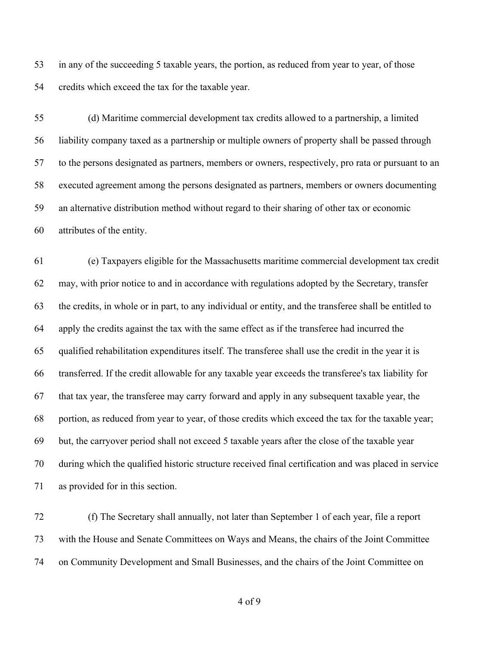in any of the succeeding 5 taxable years, the portion, as reduced from year to year, of those credits which exceed the tax for the taxable year.

 (d) Maritime commercial development tax credits allowed to a partnership, a limited liability company taxed as a partnership or multiple owners of property shall be passed through to the persons designated as partners, members or owners, respectively, pro rata or pursuant to an executed agreement among the persons designated as partners, members or owners documenting an alternative distribution method without regard to their sharing of other tax or economic attributes of the entity.

 (e) Taxpayers eligible for the Massachusetts maritime commercial development tax credit may, with prior notice to and in accordance with regulations adopted by the Secretary, transfer the credits, in whole or in part, to any individual or entity, and the transferee shall be entitled to apply the credits against the tax with the same effect as if the transferee had incurred the qualified rehabilitation expenditures itself. The transferee shall use the credit in the year it is transferred. If the credit allowable for any taxable year exceeds the transferee's tax liability for that tax year, the transferee may carry forward and apply in any subsequent taxable year, the portion, as reduced from year to year, of those credits which exceed the tax for the taxable year; but, the carryover period shall not exceed 5 taxable years after the close of the taxable year during which the qualified historic structure received final certification and was placed in service as provided for in this section.

 (f) The Secretary shall annually, not later than September 1 of each year, file a report with the House and Senate Committees on Ways and Means, the chairs of the Joint Committee on Community Development and Small Businesses, and the chairs of the Joint Committee on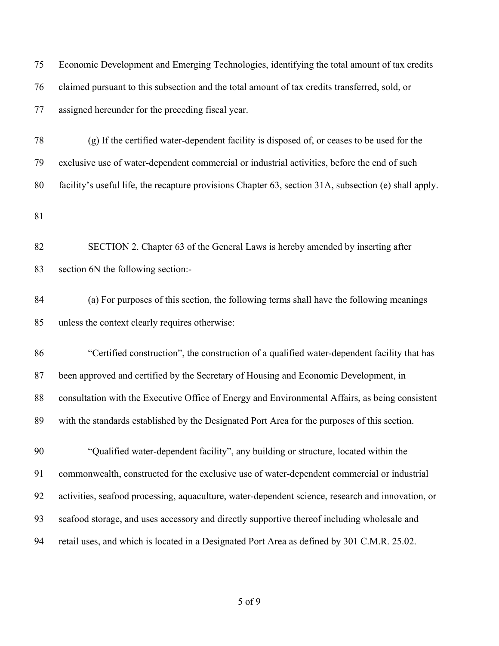| 75 | Economic Development and Emerging Technologies, identifying the total amount of tax credits           |
|----|-------------------------------------------------------------------------------------------------------|
| 76 | claimed pursuant to this subsection and the total amount of tax credits transferred, sold, or         |
| 77 | assigned hereunder for the preceding fiscal year.                                                     |
| 78 | (g) If the certified water-dependent facility is disposed of, or ceases to be used for the            |
| 79 | exclusive use of water-dependent commercial or industrial activities, before the end of such          |
| 80 | facility's useful life, the recapture provisions Chapter 63, section 31A, subsection (e) shall apply. |
| 81 |                                                                                                       |
| 82 | SECTION 2. Chapter 63 of the General Laws is hereby amended by inserting after                        |
| 83 | section 6N the following section:-                                                                    |
| 84 | (a) For purposes of this section, the following terms shall have the following meanings               |
| 85 | unless the context clearly requires otherwise:                                                        |
| 86 | "Certified construction", the construction of a qualified water-dependent facility that has           |
| 87 | been approved and certified by the Secretary of Housing and Economic Development, in                  |
| 88 | consultation with the Executive Office of Energy and Environmental Affairs, as being consistent       |
| 89 | with the standards established by the Designated Port Area for the purposes of this section.          |
| 90 | "Qualified water-dependent facility", any building or structure, located within the                   |
| 91 | commonwealth, constructed for the exclusive use of water-dependent commercial or industrial           |
| 92 | activities, seafood processing, aquaculture, water-dependent science, research and innovation, or     |
| 93 | seafood storage, and uses accessory and directly supportive thereof including wholesale and           |
| 94 | retail uses, and which is located in a Designated Port Area as defined by 301 C.M.R. 25.02.           |
|    |                                                                                                       |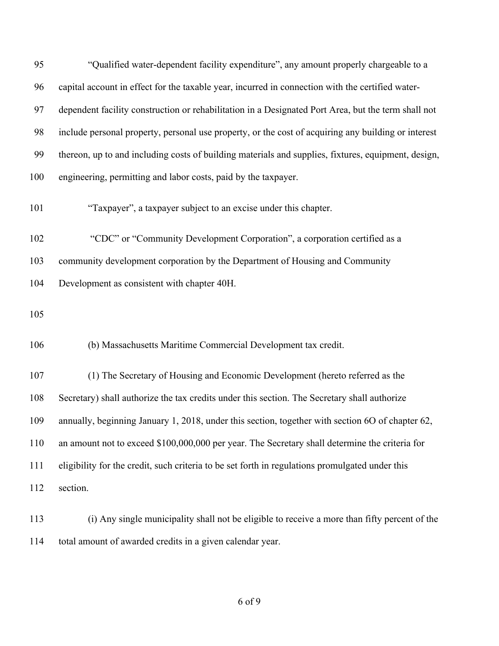| 95  | "Qualified water-dependent facility expenditure", any amount properly chargeable to a               |
|-----|-----------------------------------------------------------------------------------------------------|
| 96  | capital account in effect for the taxable year, incurred in connection with the certified water-    |
| 97  | dependent facility construction or rehabilitation in a Designated Port Area, but the term shall not |
| 98  | include personal property, personal use property, or the cost of acquiring any building or interest |
| 99  | thereon, up to and including costs of building materials and supplies, fixtures, equipment, design, |
| 100 | engineering, permitting and labor costs, paid by the taxpayer.                                      |
| 101 | "Taxpayer", a taxpayer subject to an excise under this chapter.                                     |
| 102 | "CDC" or "Community Development Corporation", a corporation certified as a                          |
| 103 | community development corporation by the Department of Housing and Community                        |
| 104 | Development as consistent with chapter 40H.                                                         |
| 105 |                                                                                                     |
| 106 | (b) Massachusetts Maritime Commercial Development tax credit.                                       |
| 107 | (1) The Secretary of Housing and Economic Development (hereto referred as the                       |
| 108 | Secretary) shall authorize the tax credits under this section. The Secretary shall authorize        |
| 109 | annually, beginning January 1, 2018, under this section, together with section 6O of chapter 62,    |
| 110 | an amount not to exceed \$100,000,000 per year. The Secretary shall determine the criteria for      |
| 111 | eligibility for the credit, such criteria to be set forth in regulations promulgated under this     |
| 112 | section.                                                                                            |
| 113 | (i) Any single municipality shall not be eligible to receive a more than fifty percent of the       |
| 114 | total amount of awarded credits in a given calendar year.                                           |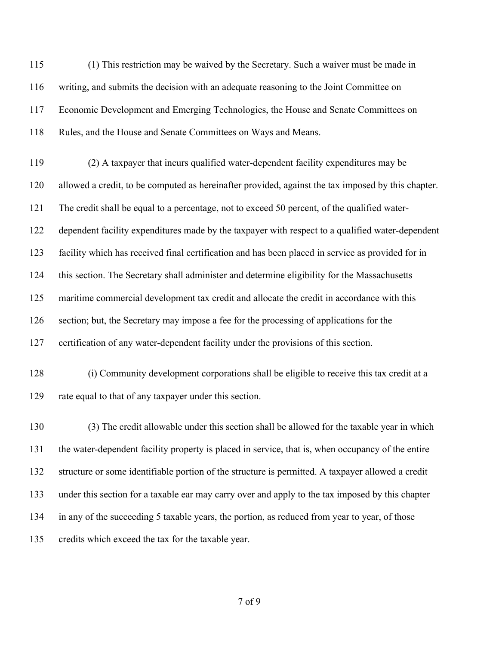(1) This restriction may be waived by the Secretary. Such a waiver must be made in writing, and submits the decision with an adequate reasoning to the Joint Committee on Economic Development and Emerging Technologies, the House and Senate Committees on Rules, and the House and Senate Committees on Ways and Means.

 (2) A taxpayer that incurs qualified water-dependent facility expenditures may be allowed a credit, to be computed as hereinafter provided, against the tax imposed by this chapter. The credit shall be equal to a percentage, not to exceed 50 percent, of the qualified water- dependent facility expenditures made by the taxpayer with respect to a qualified water-dependent facility which has received final certification and has been placed in service as provided for in this section. The Secretary shall administer and determine eligibility for the Massachusetts maritime commercial development tax credit and allocate the credit in accordance with this section; but, the Secretary may impose a fee for the processing of applications for the certification of any water-dependent facility under the provisions of this section.

 (i) Community development corporations shall be eligible to receive this tax credit at a rate equal to that of any taxpayer under this section.

 (3) The credit allowable under this section shall be allowed for the taxable year in which the water-dependent facility property is placed in service, that is, when occupancy of the entire structure or some identifiable portion of the structure is permitted. A taxpayer allowed a credit under this section for a taxable ear may carry over and apply to the tax imposed by this chapter in any of the succeeding 5 taxable years, the portion, as reduced from year to year, of those credits which exceed the tax for the taxable year.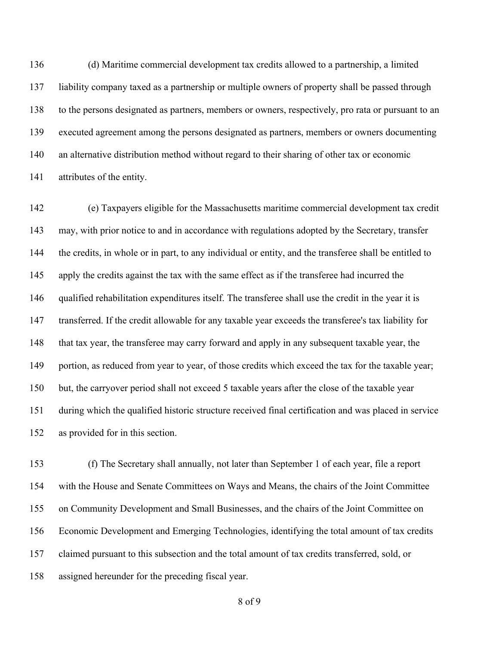(d) Maritime commercial development tax credits allowed to a partnership, a limited liability company taxed as a partnership or multiple owners of property shall be passed through to the persons designated as partners, members or owners, respectively, pro rata or pursuant to an executed agreement among the persons designated as partners, members or owners documenting an alternative distribution method without regard to their sharing of other tax or economic attributes of the entity.

 (e) Taxpayers eligible for the Massachusetts maritime commercial development tax credit may, with prior notice to and in accordance with regulations adopted by the Secretary, transfer the credits, in whole or in part, to any individual or entity, and the transferee shall be entitled to apply the credits against the tax with the same effect as if the transferee had incurred the qualified rehabilitation expenditures itself. The transferee shall use the credit in the year it is transferred. If the credit allowable for any taxable year exceeds the transferee's tax liability for that tax year, the transferee may carry forward and apply in any subsequent taxable year, the portion, as reduced from year to year, of those credits which exceed the tax for the taxable year; but, the carryover period shall not exceed 5 taxable years after the close of the taxable year during which the qualified historic structure received final certification and was placed in service as provided for in this section.

 (f) The Secretary shall annually, not later than September 1 of each year, file a report with the House and Senate Committees on Ways and Means, the chairs of the Joint Committee on Community Development and Small Businesses, and the chairs of the Joint Committee on Economic Development and Emerging Technologies, identifying the total amount of tax credits claimed pursuant to this subsection and the total amount of tax credits transferred, sold, or assigned hereunder for the preceding fiscal year.